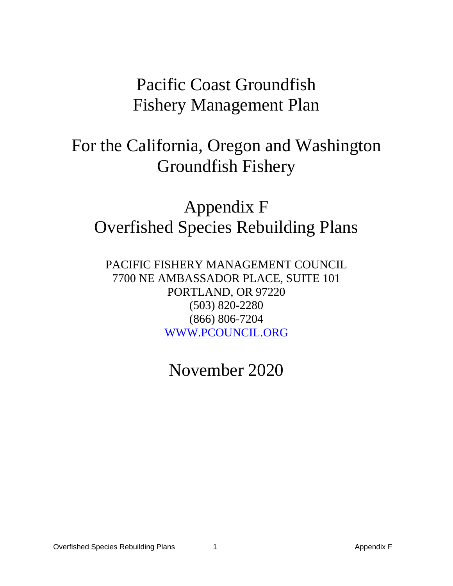# Pacific Coast Groundfish Fishery Management Plan

# For the California, Oregon and Washington Groundfish Fishery

# Appendix F Overfished Species Rebuilding Plans

PACIFIC FISHERY MANAGEMENT COUNCIL 7700 NE AMBASSADOR PLACE, SUITE 101 PORTLAND, OR 97220 (503) 820-2280 (866) 806-7204 [WWW.PCOUNCIL.ORG](http://www.pcouncil.org/)

November 2020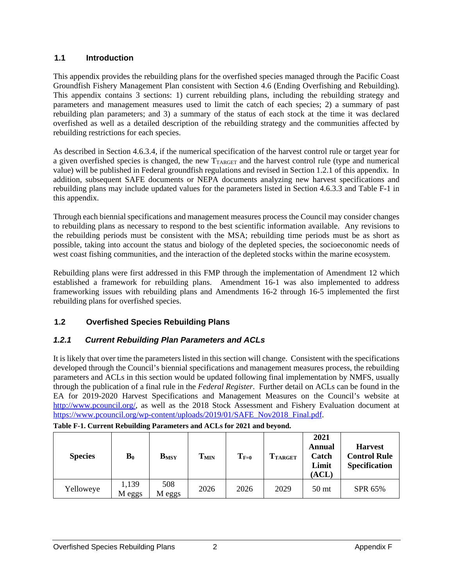### **1.1 Introduction**

This appendix provides the rebuilding plans for the overfished species managed through the Pacific Coast Groundfish Fishery Management Plan consistent with Section 4.6 (Ending Overfishing and Rebuilding). This appendix contains 3 sections: 1) current rebuilding plans, including the rebuilding strategy and parameters and management measures used to limit the catch of each species; 2) a summary of past rebuilding plan parameters; and 3) a summary of the status of each stock at the time it was declared overfished as well as a detailed description of the rebuilding strategy and the communities affected by rebuilding restrictions for each species.

As described in Section 4.6.3.4, if the numerical specification of the harvest control rule or target year for a given overfished species is changed, the new  $T_{\text{TARGE}}$  and the harvest control rule (type and numerical value) will be published in Federal groundfish regulations and revised in Section [1.2.1](#page-1-0) of this appendix. In addition, subsequent SAFE documents or NEPA documents analyzing new harvest specifications and rebuilding plans may include updated values for the parameters listed in Section 4.6.3.3 and [Table F-1](#page-1-1) in this appendix.

Through each biennial specifications and management measures process the Council may consider changes to rebuilding plans as necessary to respond to the best scientific information available. Any revisions to the rebuilding periods must be consistent with the MSA; rebuilding time periods must be as short as possible, taking into account the status and biology of the depleted species, the socioeconomic needs of west coast fishing communities, and the interaction of the depleted stocks within the marine ecosystem.

Rebuilding plans were first addressed in this FMP through the implementation of Amendment 12 which established a framework for rebuilding plans. Amendment 16-1 was also implemented to address frameworking issues with rebuilding plans and Amendments 16-2 through 16-5 implemented the first rebuilding plans for overfished species.

# **1.2 Overfished Species Rebuilding Plans**

## <span id="page-1-0"></span>*1.2.1 Current Rebuilding Plan Parameters and ACLs*

It is likely that over time the parameters listed in this section will change. Consistent with the specifications developed through the Council's biennial specifications and management measures process, the rebuilding parameters and ACLs in this section would be updated following final implementation by NMFS, usually through the publication of a final rule in the *Federal Register*. Further detail on ACLs can be found in the EA for 2019-2020 Harvest Specifications and Management Measures on the Council's website at [http://www.pcouncil.org/,](http://www.pcouncil.org/) as well as the 2018 Stock Assessment and Fishery Evaluation document at [https://www.pcouncil.org/wp-content/uploads/2019/01/SAFE\\_Nov2018\\_Final.pdf.](https://www.pcouncil.org/wp-content/uploads/2019/01/SAFE_Nov2018_Final.pdf)

| <b>Species</b> | $\mathbf{B}_0$  | $B_{MSY}$     | T <sub>MIN</sub> | $T_{F=0}$ | <b>TTARGET</b> | 2021<br><b>Annual</b><br>Catch<br>Limit<br>(ACL) | <b>Harvest</b><br><b>Control Rule</b><br><b>Specification</b> |
|----------------|-----------------|---------------|------------------|-----------|----------------|--------------------------------------------------|---------------------------------------------------------------|
| Yelloweye      | 1,139<br>M eggs | 508<br>M eggs | 2026             | 2026      | 2029           | 50 <sub>mt</sub>                                 | SPR 65%                                                       |

<span id="page-1-1"></span>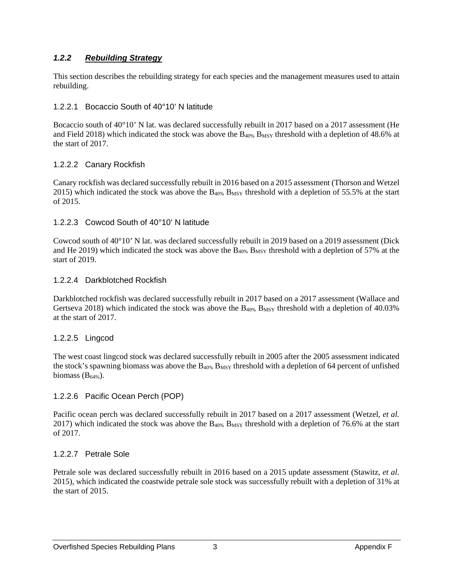## *1.2.2 Rebuilding Strategy*

This section describes the rebuilding strategy for each species and the management measures used to attain rebuilding.

#### 1.2.2.1 Bocaccio South of 40°10' N latitude

Bocaccio south of 40°10' N lat. was declared successfully rebuilt in 2017 based on a 2017 assessment [\(He](#page-9-0)  [and Field 2018\)](#page-9-0) which indicated the stock was above the  $B_{40\%}$  B<sub>MSY</sub> threshold with a depletion of 48.6% at the start of 2017.

#### 1.2.2.2 Canary Rockfish

Canary rockfish was declared successfully rebuilt in 2016 based on a 2015 assessment [\(Thorson and Wetzel](#page-9-1) [2015\)](#page-9-1) which indicated the stock was above the  $B_{40\%}$   $B_{MSY}$  threshold with a depletion of 55.5% at the start of 2015.

#### 1.2.2.3 Cowcod South of 40°10' N latitude

Cowcod south of 40°10' N lat. was declared successfully rebuilt in 2019 based on a 2019 assessment (Dick and He 2019) which indicated the stock was above the  $B_{40\%}$  B<sub>MSY</sub> threshold with a depletion of 57% at the start of 2019.

#### 1.2.2.4 Darkblotched Rockfish

Darkblotched rockfish was declared successfully rebuilt in 2017 based on a 2017 assessment [\(Wallace and](#page-9-2)  [Gertseva 2018\)](#page-9-2) which indicated the stock was above the  $B_{40\%}$  B<sub>MSY</sub> threshold with a depletion of 40.03% at the start of 2017.

#### 1.2.2.5 Lingcod

The west coast lingcod stock was declared successfully rebuilt in 2005 after the 2005 assessment indicated the stock's spawning biomass was above the B<sub>40%</sub> B<sub>MSY</sub> threshold with a depletion of 64 percent of unfished biomass  $(B_{64\%})$ .

#### 1.2.2.6 Pacific Ocean Perch (POP)

Pacific ocean perch was declared successfully rebuilt in 2017 based on a 2017 assessment [\(Wetzel](#page-9-3)*, et al.* [2017\)](#page-9-3) which indicated the stock was above the  $B_{40\%}$   $B_{MSY}$  threshold with a depletion of 76.6% at the start of 2017.

#### 1.2.2.7 Petrale Sole

Petrale sole was declared successfully rebuilt in 2016 based on a 2015 update assessment [\(Stawitz](#page-9-4)*, et al.* [2015\)](#page-9-4), which indicated the coastwide petrale sole stock was successfully rebuilt with a depletion of 31% at the start of 2015.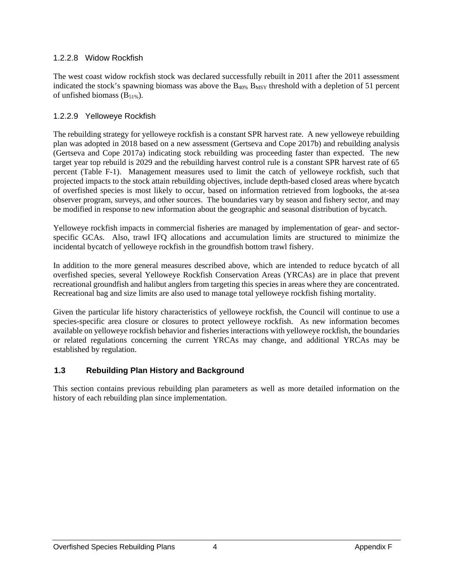### 1.2.2.8 Widow Rockfish

The west coast widow rockfish stock was declared successfully rebuilt in 2011 after the 2011 assessment indicated the stock's spawning biomass was above the  $B_{40\%}$   $B_{MSY}$  threshold with a depletion of 51 percent of unfished biomass  $(B_{51\%})$ .

### 1.2.2.9 Yelloweye Rockfish

The rebuilding strategy for yelloweye rockfish is a constant SPR harvest rate. A new yelloweye rebuilding plan was adopted in 2018 based on a new assessment [\(Gertseva and Cope 2017b\)](#page-9-5) and rebuilding analysis [\(Gertseva and Cope 2017a\)](#page-9-6) indicating stock rebuilding was proceeding faster than expected. The new target year top rebuild is 2029 and the rebuilding harvest control rule is a constant SPR harvest rate of 65 percent [\(Table F-1\)](#page-1-1). Management measures used to limit the catch of yelloweye rockfish, such that projected impacts to the stock attain rebuilding objectives, include depth-based closed areas where bycatch of overfished species is most likely to occur, based on information retrieved from logbooks, the at-sea observer program, surveys, and other sources. The boundaries vary by season and fishery sector, and may be modified in response to new information about the geographic and seasonal distribution of bycatch.

Yelloweye rockfish impacts in commercial fisheries are managed by implementation of gear- and sectorspecific GCAs. Also, trawl IFQ allocations and accumulation limits are structured to minimize the incidental bycatch of yelloweye rockfish in the groundfish bottom trawl fishery.

In addition to the more general measures described above, which are intended to reduce bycatch of all overfished species, several Yelloweye Rockfish Conservation Areas (YRCAs) are in place that prevent recreational groundfish and halibut anglers from targeting this species in areas where they are concentrated. Recreational bag and size limits are also used to manage total yelloweye rockfish fishing mortality.

Given the particular life history characteristics of yelloweye rockfish, the Council will continue to use a species-specific area closure or closures to protect yelloweye rockfish. As new information becomes available on yelloweye rockfish behavior and fisheries interactions with yelloweye rockfish, the boundaries or related regulations concerning the current YRCAs may change, and additional YRCAs may be established by regulation.

## **1.3 Rebuilding Plan History and Background**

This section contains previous rebuilding plan parameters as well as more detailed information on the history of each rebuilding plan since implementation.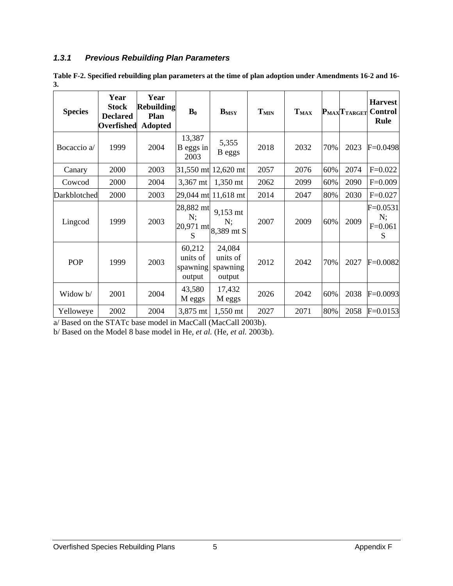## *1.3.1 Previous Rebuilding Plan Parameters*

<span id="page-4-0"></span>**Table F-2. Specified rebuilding plan parameters at the time of plan adoption under Amendments 16-2 and 16- 3.**

| <b>Species</b> | Year<br><b>Stock</b><br><b>Declared</b><br>Overfished | Year<br><b>Rebuilding</b><br>Plan<br><b>Adopted</b> | $\mathbf{B}_0$                           | <b>B</b> <sub>MSY</sub>                                     | <b>TMIN</b> | <b>TMAX</b> |     | PMAXTTARGET | <b>Harvest</b><br><b>Control</b><br>Rule |
|----------------|-------------------------------------------------------|-----------------------------------------------------|------------------------------------------|-------------------------------------------------------------|-------------|-------------|-----|-------------|------------------------------------------|
| Bocaccio a/    | 1999                                                  | 2004                                                | 13,387<br>$B$ eggs in<br>2003            | 5,355<br>B eggs                                             | 2018        | 2032        | 70% | 2023        | $F=0.0498$                               |
| Canary         | 2000                                                  | 2003                                                |                                          | 31,550 mt 12,620 mt                                         | 2057        | 2076        | 60% | 2074        | $F=0.022$                                |
| Cowcod         | 2000                                                  | 2004                                                | 3,367 mt                                 | 1,350 mt                                                    | 2062        | 2099        | 60% | 2090        | $F=0.009$                                |
| Darkblotched   | 2000                                                  | 2003                                                |                                          | 29,044 mt 11,618 mt                                         | 2014        | 2047        | 80% | 2030        | $F = 0.027$                              |
| Lingcod        | 1999                                                  | 2003                                                | 28,882 mt<br>N;<br>S                     | 9,153 mt<br>N:<br>$ 20,971 \text{ mt} 8,389 \text{ mt } S $ | 2007        | 2009        | 60% | 2009        | $F = 0.0531$<br>N;<br>$F=0.061$<br>S     |
| POP            | 1999                                                  | 2003                                                | 60,212<br>units of<br>spawning<br>output | 24,084<br>units of<br>spawning<br>output                    | 2012        | 2042        | 70% | 2027        | $F = 0.0082$                             |
| Widow b/       | 2001                                                  | 2004                                                | 43,580<br>M eggs                         | 17,432<br>M eggs                                            | 2026        | 2042        | 60% | 2038        | $F=0.0093$                               |
| Yelloweye      | 2002                                                  | 2004                                                | 3,875 mt                                 | 1,550 mt                                                    | 2027        | 2071        | 80% | 2058        | $F=0.0153$                               |

a/ Based on the STATc base model in MacCall (MacCall 2003b).

b/ Based on the Model 8 base model in He, *et al.* (He, *et al.* 2003b).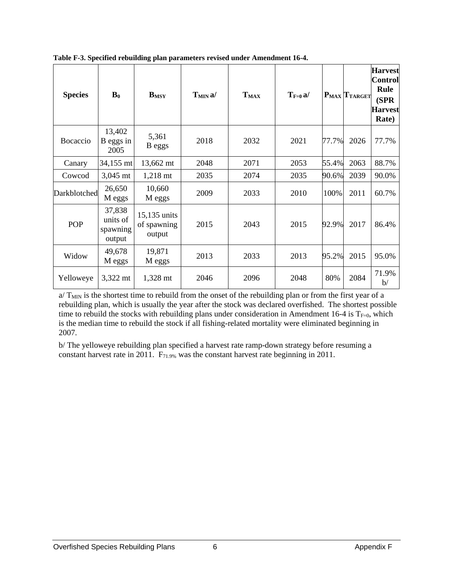| <b>Species</b> | $\mathbf{B}_0$                           | <b>BMSY</b>                           | T <sub>MIN</sub> a | T <sub>MAX</sub> | $T_{F=0} a$ / |       | PMAX TTARGET | <b>Harvest</b><br>Control<br>Rule<br>(SPR<br><b>Harvest</b><br>Rate) |
|----------------|------------------------------------------|---------------------------------------|--------------------|------------------|---------------|-------|--------------|----------------------------------------------------------------------|
| Bocaccio       | 13,402<br>B eggs in<br>2005              | 5,361<br>B eggs                       | 2018               | 2032             | 2021          | 77.7% | 2026         | 77.7%                                                                |
| Canary         | 34,155 mt                                | 13,662 mt                             | 2048               | 2071             | 2053          | 55.4% | 2063         | 88.7%                                                                |
| Cowcod         | 3,045 mt                                 | 1,218 mt                              | 2035               | 2074             | 2035          | 90.6% | 2039         | 90.0%                                                                |
| Darkblotched   | 26,650<br>M eggs                         | 10,660<br>M eggs                      | 2009               | 2033             | 2010          | 100%  | 2011         | 60.7%                                                                |
| POP            | 37,838<br>units of<br>spawning<br>output | 15,135 units<br>of spawning<br>output | 2015               | 2043             | 2015          | 92.9% | 2017         | 86.4%                                                                |
| Widow          | 49,678<br>M eggs                         | 19,871<br>M eggs                      | 2013               | 2033             | 2013          | 95.2% | 2015         | 95.0%                                                                |
| Yelloweye      | 3,322 mt                                 | 1,328 mt                              | 2046               | 2096             | 2048          | 80%   | 2084         | 71.9%<br>b/                                                          |

<span id="page-5-0"></span>**Table F-3. Specified rebuilding plan parameters revised under Amendment 16-4.**

 $a/T_{MIN}$  is the shortest time to rebuild from the onset of the rebuilding plan or from the first year of a rebuilding plan, which is usually the year after the stock was declared overfished. The shortest possible time to rebuild the stocks with rebuilding plans under consideration in Amendment 16-4 is  $T_{F=0}$ , which is the median time to rebuild the stock if all fishing-related mortality were eliminated beginning in 2007.

b/ The yelloweye rebuilding plan specified a harvest rate ramp-down strategy before resuming a constant harvest rate in 2011. F71.9% was the constant harvest rate beginning in 2011.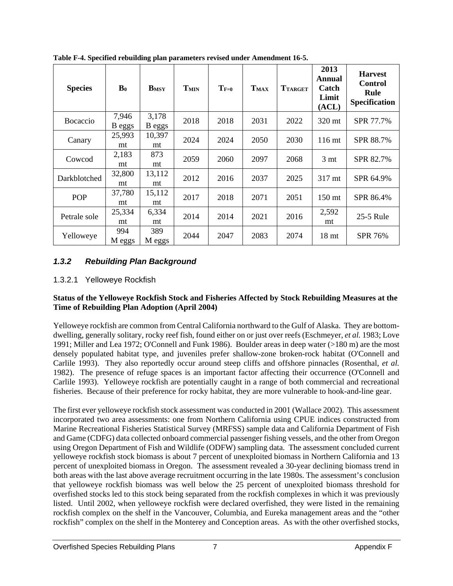| <b>Species</b>   | $\mathbf{B}_0$  | $B_{MSY}$       | T <sub>MIN</sub> | $T_{F=0}$ | T <sub>MAX</sub> | <b>TTARGET</b> | 2013<br>Annual<br>Catch<br>Limit<br>(ACL) | <b>Harvest</b><br><b>Control</b><br>Rule<br>Specification |
|------------------|-----------------|-----------------|------------------|-----------|------------------|----------------|-------------------------------------------|-----------------------------------------------------------|
| <b>B</b> ocaccio | 7,946<br>B eggs | 3,178<br>B eggs | 2018             | 2018      | 2031             | 2022           | 320 mt                                    | SPR 77.7%                                                 |
| Canary           | 25,993<br>mt    | 10,397<br>mt    | 2024             | 2024      | 2050             | 2030           | $116 \text{ mt}$                          | SPR 88.7%                                                 |
| Cowcod           | 2,183<br>mt     | 873<br>mt       | 2059             | 2060      | 2097             | 2068           | 3 <sub>mt</sub>                           | SPR 82.7%                                                 |
| Darkblotched     | 32,800<br>mt    | 13,112<br>mt    | 2012             | 2016      | 2037             | 2025           | 317 mt                                    | SPR 64.9%                                                 |
| POP              | 37,780<br>mt    | 15,112<br>mt    | 2017             | 2018      | 2071             | 2051           | $150$ mt                                  | SPR 86.4%                                                 |
| Petrale sole     | 25,334<br>mt    | 6,334<br>mt     | 2014             | 2014      | 2021             | 2016           | 2,592<br>mt                               | 25-5 Rule                                                 |
| Yelloweye        | 994<br>M eggs   | 389<br>M eggs   | 2044             | 2047      | 2083             | 2074           | 18 <sub>mt</sub>                          | SPR 76%                                                   |

**Table F-4. Specified rebuilding plan parameters revised under Amendment 16-5.**

## *1.3.2 Rebuilding Plan Background*

#### 1.3.2.1 Yelloweye Rockfish

#### **Status of the Yelloweye Rockfish Stock and Fisheries Affected by Stock Rebuilding Measures at the Time of Rebuilding Plan Adoption (April 2004)**

Yelloweye rockfish are common from Central California northward to the Gulf of Alaska. They are bottomdwelling, generally solitary, rocky reef fish, found either on or just over reefs (Eschmeyer, *et al.* 1983; Love 1991; Miller and Lea 1972; O'Connell and Funk 1986). Boulder areas in deep water (>180 m) are the most densely populated habitat type, and juveniles prefer shallow-zone broken-rock habitat (O'Connell and Carlile 1993). They also reportedly occur around steep cliffs and offshore pinnacles (Rosenthal, *et al.* 1982). The presence of refuge spaces is an important factor affecting their occurrence (O'Connell and Carlile 1993). Yelloweye rockfish are potentially caught in a range of both commercial and recreational fisheries. Because of their preference for rocky habitat, they are more vulnerable to hook-and-line gear.

The first ever yelloweye rockfish stock assessment was conducted in 2001 (Wallace 2002). This assessment incorporated two area assessments: one from Northern California using CPUE indices constructed from Marine Recreational Fisheries Statistical Survey (MRFSS) sample data and California Department of Fish and Game (CDFG) data collected onboard commercial passenger fishing vessels, and the other from Oregon using Oregon Department of Fish and Wildlife (ODFW) sampling data. The assessment concluded current yelloweye rockfish stock biomass is about 7 percent of unexploited biomass in Northern California and 13 percent of unexploited biomass in Oregon. The assessment revealed a 30-year declining biomass trend in both areas with the last above average recruitment occurring in the late 1980s. The assessment's conclusion that yelloweye rockfish biomass was well below the 25 percent of unexploited biomass threshold for overfished stocks led to this stock being separated from the rockfish complexes in which it was previously listed. Until 2002, when yelloweye rockfish were declared overfished, they were listed in the remaining rockfish complex on the shelf in the Vancouver, Columbia, and Eureka management areas and the "other rockfish" complex on the shelf in the Monterey and Conception areas. As with the other overfished stocks,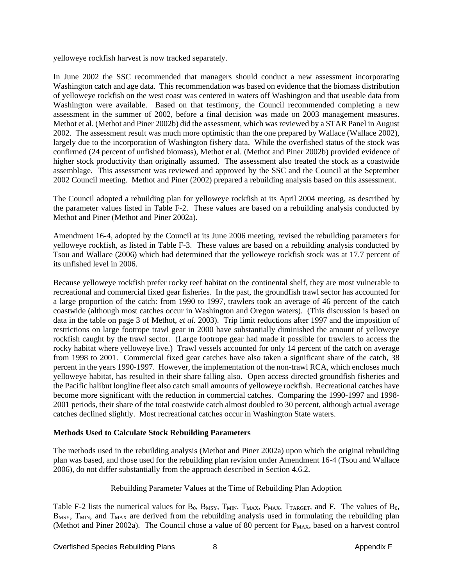yelloweye rockfish harvest is now tracked separately.

In June 2002 the SSC recommended that managers should conduct a new assessment incorporating Washington catch and age data. This recommendation was based on evidence that the biomass distribution of yelloweye rockfish on the west coast was centered in waters off Washington and that useable data from Washington were available. Based on that testimony, the Council recommended completing a new assessment in the summer of 2002, before a final decision was made on 2003 management measures. Methot et al. (Methot and Piner 2002b) did the assessment, which was reviewed by a STAR Panel in August 2002. The assessment result was much more optimistic than the one prepared by Wallace (Wallace 2002), largely due to the incorporation of Washington fishery data. While the overfished status of the stock was confirmed (24 percent of unfished biomass), Methot et al. (Methot and Piner 2002b) provided evidence of higher stock productivity than originally assumed. The assessment also treated the stock as a coastwide assemblage. This assessment was reviewed and approved by the SSC and the Council at the September 2002 Council meeting. Methot and Piner (2002) prepared a rebuilding analysis based on this assessment.

The Council adopted a rebuilding plan for yelloweye rockfish at its April 2004 meeting, as described by the parameter values listed in [Table F-2.](#page-4-0) These values are based on a rebuilding analysis conducted by Methot and Piner (Methot and Piner 2002a).

Amendment 16-4, adopted by the Council at its June 2006 meeting, revised the rebuilding parameters for yelloweye rockfish, as listed in [Table F-3.](#page-5-0) These values are based on a rebuilding analysis conducted by Tsou and Wallace (2006) which had determined that the yelloweye rockfish stock was at 17.7 percent of its unfished level in 2006.

Because yelloweye rockfish prefer rocky reef habitat on the continental shelf, they are most vulnerable to recreational and commercial fixed gear fisheries. In the past, the groundfish trawl sector has accounted for a large proportion of the catch: from 1990 to 1997, trawlers took an average of 46 percent of the catch coastwide (although most catches occur in Washington and Oregon waters). (This discussion is based on data in the table on page 3 of Methot, *et al.* 2003). Trip limit reductions after 1997 and the imposition of restrictions on large footrope trawl gear in 2000 have substantially diminished the amount of yelloweye rockfish caught by the trawl sector. (Large footrope gear had made it possible for trawlers to access the rocky habitat where yelloweye live.) Trawl vessels accounted for only 14 percent of the catch on average from 1998 to 2001. Commercial fixed gear catches have also taken a significant share of the catch, 38 percent in the years 1990-1997. However, the implementation of the non-trawl RCA, which encloses much yelloweye habitat, has resulted in their share falling also. Open access directed groundfish fisheries and the Pacific halibut longline fleet also catch small amounts of yelloweye rockfish. Recreational catches have become more significant with the reduction in commercial catches. Comparing the 1990-1997 and 1998- 2001 periods, their share of the total coastwide catch almost doubled to 30 percent, although actual average catches declined slightly. Most recreational catches occur in Washington State waters.

#### **Methods Used to Calculate Stock Rebuilding Parameters**

The methods used in the rebuilding analysis (Methot and Piner 2002a) upon which the original rebuilding plan was based, and those used for the rebuilding plan revision under Amendment 16-4 (Tsou and Wallace 2006), do not differ substantially from the approach described in Section 4.6.2.

## Rebuilding Parameter Values at the Time of Rebuilding Plan Adoption

[Table F-2](#page-4-0) lists the numerical values for  $B_0$ ,  $B_{MSY}$ ,  $T_{MIN}$ ,  $T_{MAX}$ ,  $P_{MAX}$ ,  $T_{TARGE}$ , and F. The values of  $B_0$ , B<sub>MSY</sub>, T<sub>MIN</sub>, and T<sub>MAX</sub> are derived from the rebuilding analysis used in formulating the rebuilding plan (Methot and Piner 2002a). The Council chose a value of 80 percent for  $P_{MAX}$ , based on a harvest control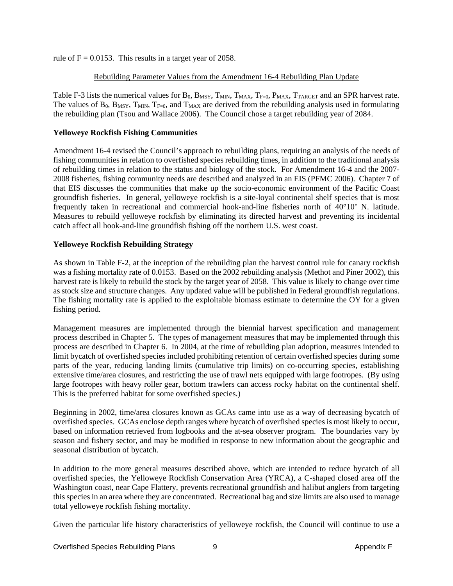rule of  $F = 0.0153$ . This results in a target year of 2058.

#### Rebuilding Parameter Values from the Amendment 16-4 Rebuilding Plan Update

[Table F-3](#page-5-0) lists the numerical values for  $B_0$ ,  $B_{MSY}$ ,  $T_{MIN}$ ,  $T_{MAX}$ ,  $T_{F=0}$ ,  $P_{MAX}$ ,  $T_{TARGET}$  and an SPR harvest rate. The values of  $B_0$ ,  $B_{MSY}$ ,  $T_{MIN}$ ,  $T_{F=0}$ , and  $T_{MAX}$  are derived from the rebuilding analysis used in formulating the rebuilding plan (Tsou and Wallace 2006). The Council chose a target rebuilding year of 2084.

#### **Yelloweye Rockfish Fishing Communities**

Amendment 16-4 revised the Council's approach to rebuilding plans, requiring an analysis of the needs of fishing communities in relation to overfished species rebuilding times, in addition to the traditional analysis of rebuilding times in relation to the status and biology of the stock. For Amendment 16-4 and the 2007- 2008 fisheries, fishing community needs are described and analyzed in an EIS (PFMC 2006). Chapter 7 of that EIS discusses the communities that make up the socio-economic environment of the Pacific Coast groundfish fisheries. In general, yelloweye rockfish is a site-loyal continental shelf species that is most frequently taken in recreational and commercial hook-and-line fisheries north of 40°10' N. latitude. Measures to rebuild yelloweye rockfish by eliminating its directed harvest and preventing its incidental catch affect all hook-and-line groundfish fishing off the northern U.S. west coast.

#### **Yelloweye Rockfish Rebuilding Strategy**

As shown in [Table F-2,](#page-4-0) at the inception of the rebuilding plan the harvest control rule for canary rockfish was a fishing mortality rate of 0.0153. Based on the 2002 rebuilding analysis (Methot and Piner 2002), this harvest rate is likely to rebuild the stock by the target year of 2058. This value is likely to change over time as stock size and structure changes. Any updated value will be published in Federal groundfish regulations. The fishing mortality rate is applied to the exploitable biomass estimate to determine the OY for a given fishing period.

Management measures are implemented through the biennial harvest specification and management process described in Chapter 5. The types of management measures that may be implemented through this process are described in Chapter 6. In 2004, at the time of rebuilding plan adoption, measures intended to limit bycatch of overfished species included prohibiting retention of certain overfished species during some parts of the year, reducing landing limits (cumulative trip limits) on co-occurring species, establishing extensive time/area closures, and restricting the use of trawl nets equipped with large footropes. (By using large footropes with heavy roller gear, bottom trawlers can access rocky habitat on the continental shelf. This is the preferred habitat for some overfished species.)

Beginning in 2002, time/area closures known as GCAs came into use as a way of decreasing bycatch of overfished species. GCAs enclose depth ranges where bycatch of overfished species is most likely to occur, based on information retrieved from logbooks and the at-sea observer program. The boundaries vary by season and fishery sector, and may be modified in response to new information about the geographic and seasonal distribution of bycatch.

In addition to the more general measures described above, which are intended to reduce bycatch of all overfished species, the Yelloweye Rockfish Conservation Area (YRCA), a C-shaped closed area off the Washington coast, near Cape Flattery, prevents recreational groundfish and halibut anglers from targeting this species in an area where they are concentrated. Recreational bag and size limits are also used to manage total yelloweye rockfish fishing mortality.

Given the particular life history characteristics of yelloweye rockfish, the Council will continue to use a